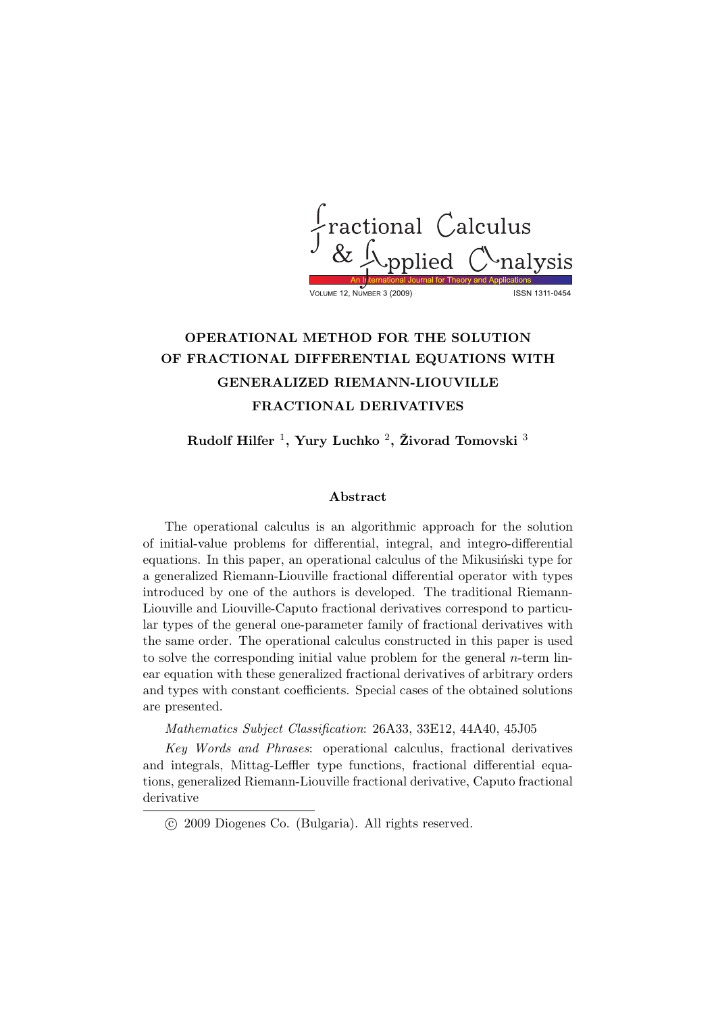

# OPERATIONAL METHOD FOR THE SOLUTION OF FRACTIONAL DIFFERENTIAL EQUATIONS WITH GENERALIZED RIEMANN-LIOUVILLE FRACTIONAL DERIVATIVES

Rudolf Hilfer  $^1$ , Yury Luchko  $^2$ , Živorad Tomovski  $^3$ 

## Abstract

The operational calculus is an algorithmic approach for the solution of initial-value problems for differential, integral, and integro-differential equations. In this paper, an operational calculus of the Mikusinski type for a generalized Riemann-Liouville fractional differential operator with types introduced by one of the authors is developed. The traditional Riemann-Liouville and Liouville-Caputo fractional derivatives correspond to particular types of the general one-parameter family of fractional derivatives with the same order. The operational calculus constructed in this paper is used to solve the corresponding initial value problem for the general  $n$ -term linear equation with these generalized fractional derivatives of arbitrary orders and types with constant coefficients. Special cases of the obtained solutions are presented.

Mathematics Subject Classification: 26A33, 33E12, 44A40, 45J05

Key Words and Phrases: operational calculus, fractional derivatives and integrals, Mittag-Leffler type functions, fractional differential equations, generalized Riemann-Liouville fractional derivative, Caputo fractional derivative

<sup>°</sup>c 2009 Diogenes Co. (Bulgaria). All rights reserved.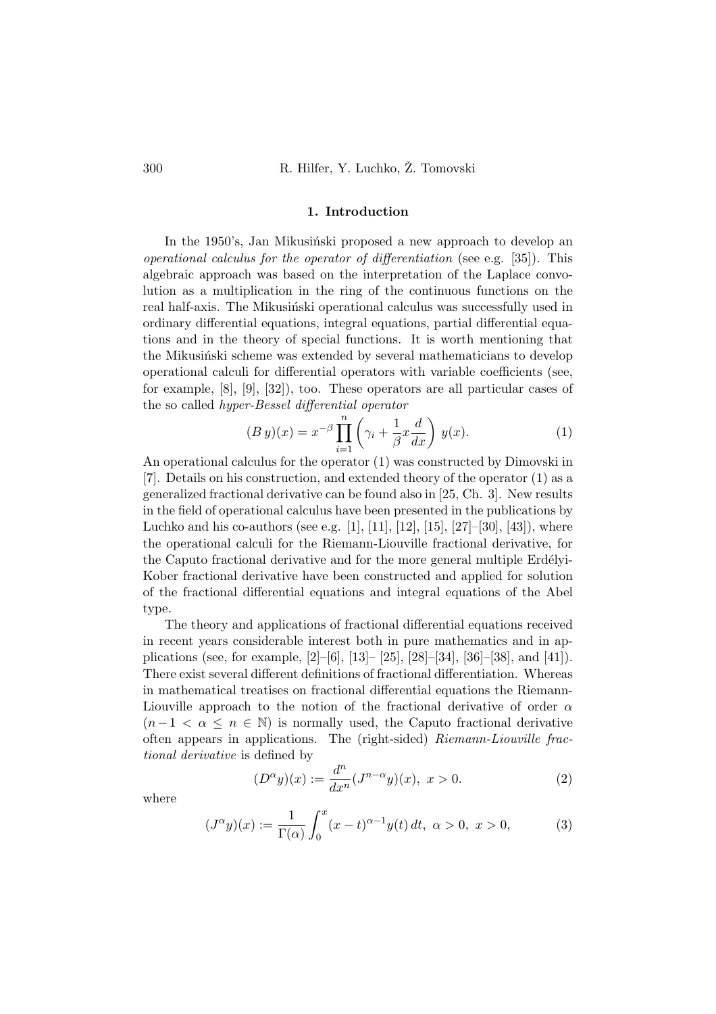#### 1. Introduction

In the 1950's, Jan Mikusinski proposed a new approach to develop an operational calculus for the operator of differentiation (see e.g. [35]). This algebraic approach was based on the interpretation of the Laplace convolution as a multiplication in the ring of the continuous functions on the real half-axis. The Mikusinski operational calculus was successfully used in ordinary differential equations, integral equations, partial differential equations and in the theory of special functions. It is worth mentioning that the Mikusinski scheme was extended by several mathematicians to develop operational calculi for differential operators with variable coefficients (see, for example, [8], [9], [32]), too. These operators are all particular cases of the so called *hyper-Bessel differential operator* 

$$
(By)(x) = x^{-\beta} \prod_{i=1}^{n} \left( \gamma_i + \frac{1}{\beta} x \frac{d}{dx} \right) y(x).
$$
 (1)

An operational calculus for the operator (1) was constructed by Dimovski in [7]. Details on his construction, and extended theory of the operator (1) as a generalized fractional derivative can be found also in [25, Ch. 3]. New results in the field of operational calculus have been presented in the publications by Luchko and his co-authors (see e.g. [1], [11], [12], [15], [27]–[30], [43]), where the operational calculi for the Riemann-Liouville fractional derivative, for the Caputo fractional derivative and for the more general multiple Erdélyi-Kober fractional derivative have been constructed and applied for solution of the fractional differential equations and integral equations of the Abel type.

The theory and applications of fractional differential equations received in recent years considerable interest both in pure mathematics and in applications (see, for example, [2]–[6], [13]– [25], [28]–[34], [36]–[38], and [41]). There exist several different definitions of fractional differentiation. Whereas in mathematical treatises on fractional differential equations the Riemann-Liouville approach to the notion of the fractional derivative of order  $\alpha$  $(n-1 < \alpha \leq n \in \mathbb{N})$  is normally used, the Caputo fractional derivative often appears in applications. The (right-sided) Riemann-Liouville fractional derivative is defined by

$$
(D^{\alpha}y)(x) := \frac{d^n}{dx^n}(J^{n-\alpha}y)(x), \ x > 0.
$$
 (2)

where

$$
(J^{\alpha}y)(x) := \frac{1}{\Gamma(\alpha)} \int_0^x (x - t)^{\alpha - 1} y(t) dt, \ \alpha > 0, \ x > 0,
$$
 (3)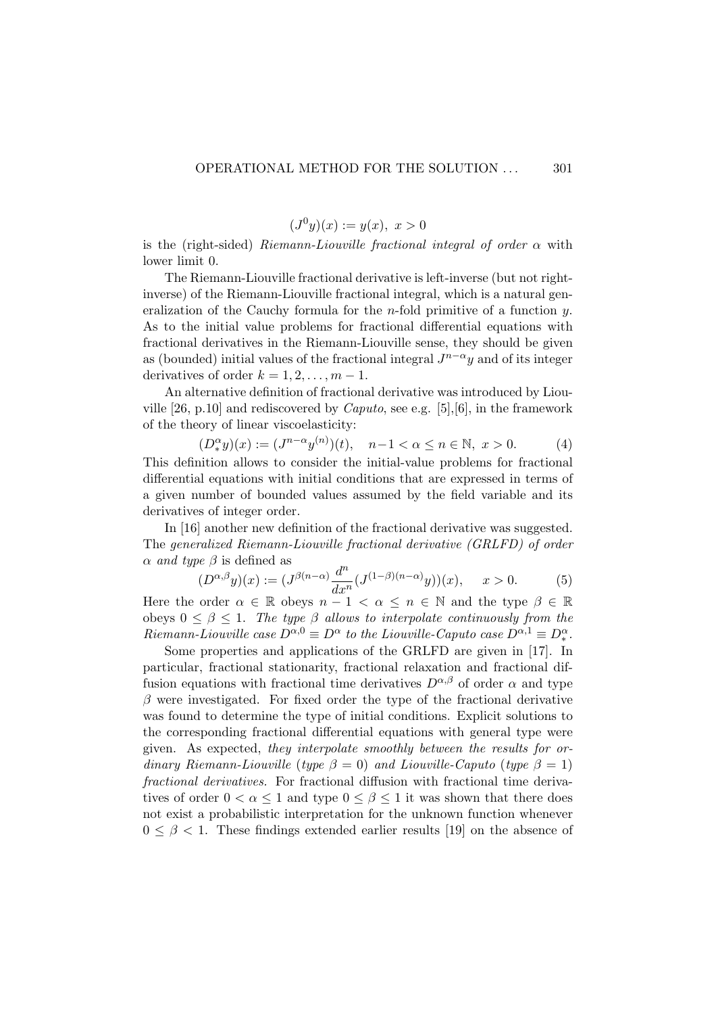$$
(J^{0}y)(x) := y(x), \ x > 0
$$

is the (right-sided) Riemann-Liouville fractional integral of order  $\alpha$  with lower limit 0.

The Riemann-Liouville fractional derivative is left-inverse (but not rightinverse) of the Riemann-Liouville fractional integral, which is a natural generalization of the Cauchy formula for the *n*-fold primitive of a function  $y$ . As to the initial value problems for fractional differential equations with fractional derivatives in the Riemann-Liouville sense, they should be given as (bounded) initial values of the fractional integral  $J^{n-\alpha}y$  and of its integer derivatives of order  $k = 1, 2, \ldots, m - 1$ .

An alternative definition of fractional derivative was introduced by Liouville [26, p.10] and rediscovered by *Caputo*, see e.g. [5], [6], in the framework of the theory of linear viscoelasticity:

$$
(D_*^{\alpha}y)(x) := (J^{n-\alpha}y^{(n)})(t), \quad n-1 < \alpha \le n \in \mathbb{N}, \ x > 0.
$$
 (4)

This definition allows to consider the initial-value problems for fractional differential equations with initial conditions that are expressed in terms of a given number of bounded values assumed by the field variable and its derivatives of integer order.

In [16] another new definition of the fractional derivative was suggested. The generalized Riemann-Liouville fractional derivative (GRLFD) of order  $\alpha$  and type  $\beta$  is defined as

$$
(D^{\alpha,\beta}y)(x) := (J^{\beta(n-\alpha)}\frac{d^n}{dx^n}(J^{(1-\beta)(n-\alpha)}y))(x), \quad x > 0.
$$
 (5)

Here the order  $\alpha \in \mathbb{R}$  obeys  $n-1 < \alpha \leq n \in \mathbb{N}$  and the type  $\beta \in \mathbb{R}$ obeys  $0 \leq \beta \leq 1$ . The type  $\beta$  allows to interpolate continuously from the Riemann-Liouville case  $D^{\alpha,0} \equiv D^{\alpha}$  to the Liouville-Caputo case  $D^{\alpha,1} \equiv D_*^{\alpha}$ .

Some properties and applications of the GRLFD are given in [17]. In particular, fractional stationarity, fractional relaxation and fractional diffusion equations with fractional time derivatives  $D^{\alpha,\beta}$  of order  $\alpha$  and type  $\beta$  were investigated. For fixed order the type of the fractional derivative was found to determine the type of initial conditions. Explicit solutions to the corresponding fractional differential equations with general type were given. As expected, they interpolate smoothly between the results for ordinary Riemann-Liouville (type  $\beta = 0$ ) and Liouville-Caputo (type  $\beta = 1$ ) fractional derivatives. For fractional diffusion with fractional time derivatives of order  $0 < \alpha \leq 1$  and type  $0 \leq \beta \leq 1$  it was shown that there does not exist a probabilistic interpretation for the unknown function whenever  $0 \leq \beta < 1$ . These findings extended earlier results [19] on the absence of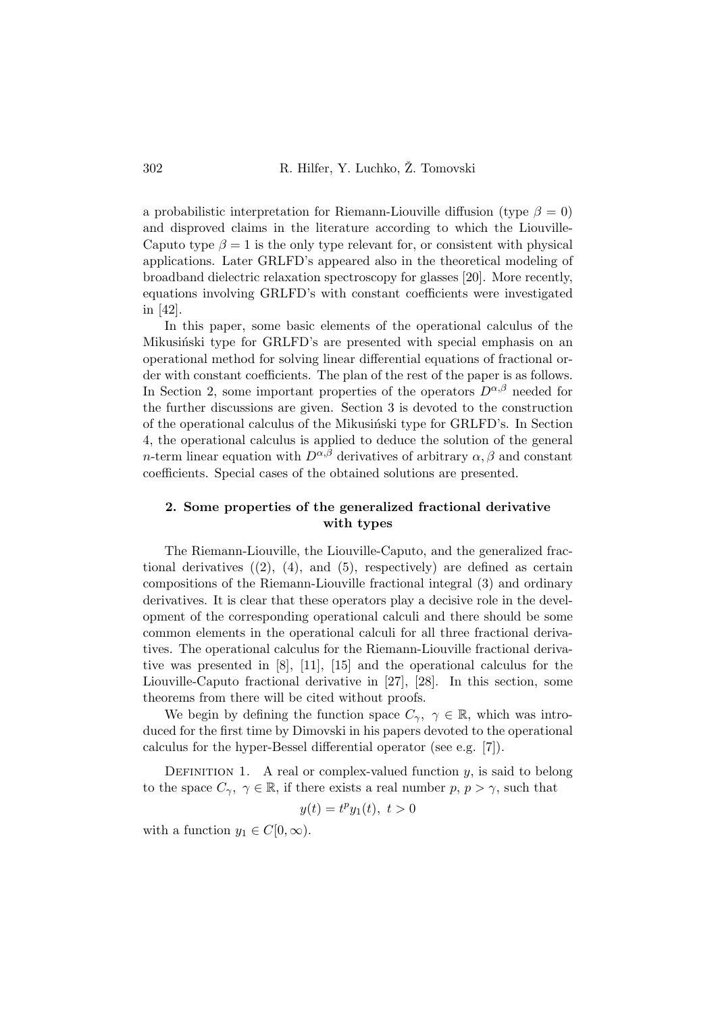a probabilistic interpretation for Riemann-Liouville diffusion (type  $\beta = 0$ ) and disproved claims in the literature according to which the Liouville-Caputo type  $\beta = 1$  is the only type relevant for, or consistent with physical applications. Later GRLFD's appeared also in the theoretical modeling of broadband dielectric relaxation spectroscopy for glasses [20]. More recently, equations involving GRLFD's with constant coefficients were investigated in [42].

In this paper, some basic elements of the operational calculus of the Mikusinski type for GRLFD's are presented with special emphasis on an operational method for solving linear differential equations of fractional order with constant coefficients. The plan of the rest of the paper is as follows. In Section 2, some important properties of the operators  $D^{\alpha,\beta}$  needed for the further discussions are given. Section 3 is devoted to the construction of the operational calculus of the Mikusinski type for GRLFD's. In Section 4, the operational calculus is applied to deduce the solution of the general n-term linear equation with  $D^{\alpha,\beta}$  derivatives of arbitrary  $\alpha,\beta$  and constant coefficients. Special cases of the obtained solutions are presented.

# 2. Some properties of the generalized fractional derivative with types

The Riemann-Liouville, the Liouville-Caputo, and the generalized fractional derivatives  $(2)$ ,  $(4)$ , and  $(5)$ , respectively) are defined as certain compositions of the Riemann-Liouville fractional integral (3) and ordinary derivatives. It is clear that these operators play a decisive role in the development of the corresponding operational calculi and there should be some common elements in the operational calculi for all three fractional derivatives. The operational calculus for the Riemann-Liouville fractional derivative was presented in [8], [11], [15] and the operational calculus for the Liouville-Caputo fractional derivative in [27], [28]. In this section, some theorems from there will be cited without proofs.

We begin by defining the function space  $C_{\gamma}$ ,  $\gamma \in \mathbb{R}$ , which was introduced for the first time by Dimovski in his papers devoted to the operational calculus for the hyper-Bessel differential operator (see e.g. [7]).

DEFINITION 1. A real or complex-valued function  $y$ , is said to belong to the space  $C_{\gamma}$ ,  $\gamma \in \mathbb{R}$ , if there exists a real number p,  $p > \gamma$ , such that

$$
y(t) = t^p y_1(t), \ t > 0
$$

with a function  $y_1 \in C[0,\infty)$ .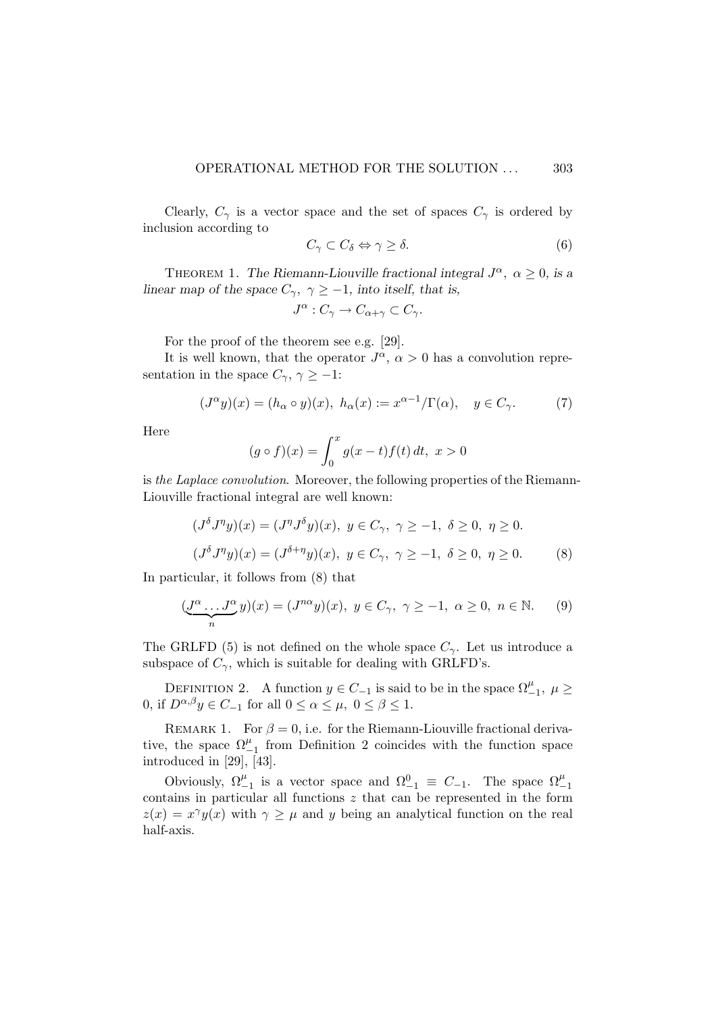Clearly,  $C_{\gamma}$  is a vector space and the set of spaces  $C_{\gamma}$  is ordered by inclusion according to

$$
C_{\gamma} \subset C_{\delta} \Leftrightarrow \gamma \ge \delta. \tag{6}
$$

THEOREM 1. The Riemann-Liouville fractional integral  $J^{\alpha}$ ,  $\alpha \geq 0$ , is a linear map of the space  $C_{\gamma}$ ,  $\gamma \ge -1$ , into itself, that is,

$$
J^{\alpha}: C_{\gamma} \to C_{\alpha+\gamma} \subset C_{\gamma}.
$$

For the proof of the theorem see e.g. [29].

It is well known, that the operator  $J^{\alpha}$ ,  $\alpha > 0$  has a convolution representation in the space  $C_{\gamma}$ ,  $\gamma \geq -1$ :

$$
(J^{\alpha}y)(x) = (h_{\alpha} \circ y)(x), \ h_{\alpha}(x) := x^{\alpha - 1}/\Gamma(\alpha), \quad y \in C_{\gamma}.
$$
 (7)

Here

$$
(g \circ f)(x) = \int_0^x g(x - t) f(t) dt, \ x > 0
$$

is the Laplace convolution. Moreover, the following properties of the Riemann-Liouville fractional integral are well known:

$$
(J^{\delta}J^{\eta}y)(x) = (J^{\eta}J^{\delta}y)(x), y \in C_{\gamma}, \gamma \ge -1, \delta \ge 0, \eta \ge 0.
$$
  

$$
(J^{\delta}J^{\eta}y)(x) = (J^{\delta+\eta}y)(x), y \in C_{\gamma}, \gamma \ge -1, \delta \ge 0, \eta \ge 0.
$$
 (8)

In particular, it follows from (8) that

$$
(\underbrace{J^{\alpha}\ldots J^{\alpha}}_{n}y)(x) = (J^{n\alpha}y)(x), \ y \in C_{\gamma}, \ \gamma \ge -1, \ \alpha \ge 0, \ n \in \mathbb{N}.
$$
 (9)

The GRLFD (5) is not defined on the whole space  $C_{\gamma}$ . Let us introduce a subspace of  $C_{\gamma}$ , which is suitable for dealing with GRLFD's.

DEFINITION 2. A function  $y \in C_{-1}$  is said to be in the space  $\Omega_{-1}^{\mu}$ ,  $\mu \geq$ 0, if  $D^{\alpha,\beta}y \in C_{-1}$  for all  $0 \leq \alpha \leq \mu$ ,  $0 \leq \beta \leq 1$ .

REMARK 1. For  $\beta = 0$ , i.e. for the Riemann-Liouville fractional derivative, the space  $\Omega_{-1}^{\mu}$  from Definition 2 coincides with the function space introduced in [29], [43].

Obviously,  $\Omega_{-1}^{\mu}$  is a vector space and  $\Omega_{-1}^{0} \equiv C_{-1}$ . The space  $\Omega_{-1}^{\mu}$ contains in particular all functions z that can be represented in the form  $z(x) = x^{\gamma}y(x)$  with  $\gamma \geq \mu$  and y being an analytical function on the real half-axis.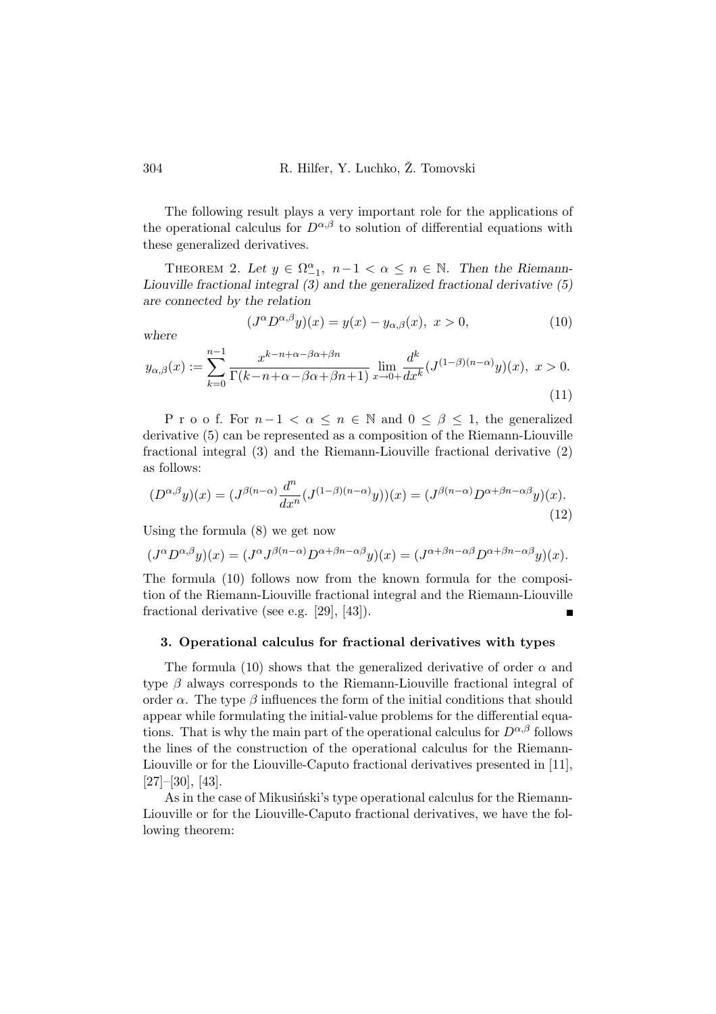The following result plays a very important role for the applications of the operational calculus for  $D^{\alpha,\beta}$  to solution of differential equations with these generalized derivatives.

THEOREM 2. Let  $y \in \Omega_{-1}^{\alpha}$ ,  $n-1 < \alpha \leq n \in \mathbb{N}$ . Then the Riemann-Liouville fractional integral (3) and the generalized fractional derivative (5) are connected by the relation

$$
(J^{\alpha}D^{\alpha,\beta}y)(x) = y(x) - y_{\alpha,\beta}(x), \ x > 0,
$$
\n(10)

where

$$
y_{\alpha,\beta}(x) := \sum_{k=0}^{n-1} \frac{x^{k-n+\alpha-\beta\alpha+\beta n}}{\Gamma(k-n+\alpha-\beta\alpha+\beta n+1)} \lim_{x\to 0+} \frac{d^k}{dx^k} \left(J^{(1-\beta)(n-\alpha)}y\right)(x), \ x > 0.
$$
\n(11)

P r o o f. For  $n-1 < \alpha \leq n \in \mathbb{N}$  and  $0 \leq \beta \leq 1$ , the generalized derivative (5) can be represented as a composition of the Riemann-Liouville fractional integral (3) and the Riemann-Liouville fractional derivative (2) as follows:

$$
(D^{\alpha,\beta}y)(x) = (J^{\beta(n-\alpha)}\frac{d^n}{dx^n}(J^{(1-\beta)(n-\alpha)}y))(x) = (J^{\beta(n-\alpha)}D^{\alpha+\beta n-\alpha\beta}y)(x).
$$
\n(12)

Using the formula (8) we get now

$$
(J^{\alpha}D^{\alpha,\beta}y)(x) = (J^{\alpha}J^{\beta(n-\alpha)}D^{\alpha+\beta n-\alpha\beta}y)(x) = (J^{\alpha+\beta n-\alpha\beta}D^{\alpha+\beta n-\alpha\beta}y)(x).
$$

The formula (10) follows now from the known formula for the composition of the Riemann-Liouville fractional integral and the Riemann-Liouville fractional derivative (see e.g. [29], [43]).

## 3. Operational calculus for fractional derivatives with types

The formula (10) shows that the generalized derivative of order  $\alpha$  and type  $\beta$  always corresponds to the Riemann-Liouville fractional integral of order  $\alpha$ . The type  $\beta$  influences the form of the initial conditions that should appear while formulating the initial-value problems for the differential equations. That is why the main part of the operational calculus for  $D^{\alpha,\beta}$  follows the lines of the construction of the operational calculus for the Riemann-Liouville or for the Liouville-Caputo fractional derivatives presented in [11], [27]–[30], [43].

As in the case of Mikusinski's type operational calculus for the Riemann-Liouville or for the Liouville-Caputo fractional derivatives, we have the following theorem: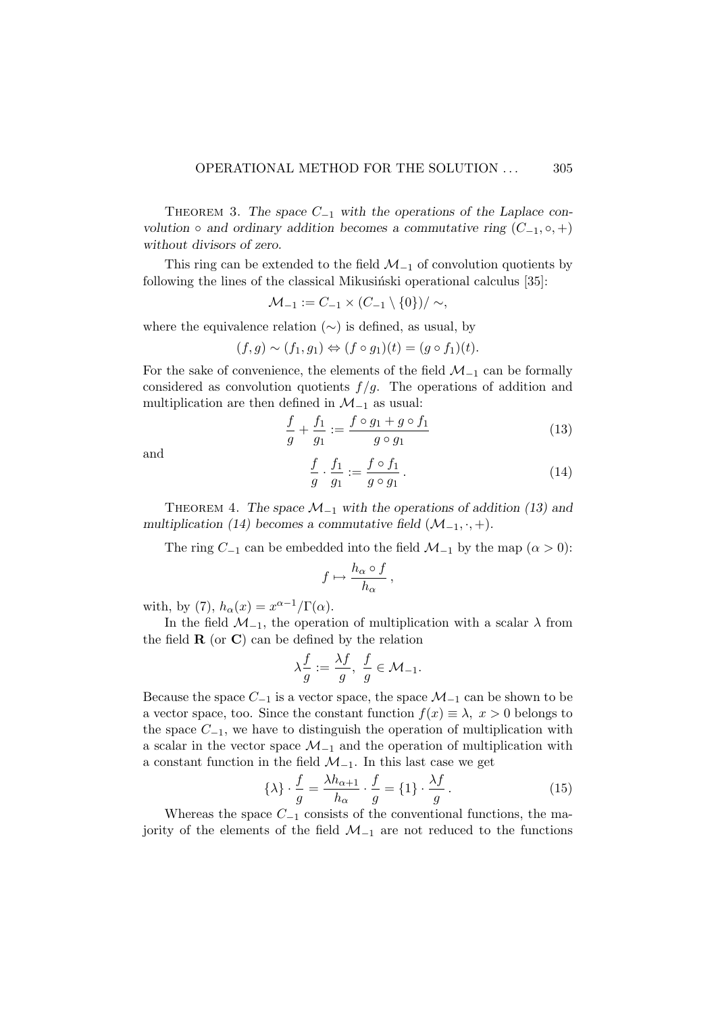THEOREM 3. The space  $C_{-1}$  with the operations of the Laplace convolution ∘ and ordinary addition becomes a commutative ring  $(C_{-1}, \circ, +)$ without divisors of zero.

This ring can be extended to the field  $\mathcal{M}_{-1}$  of convolution quotients by following the lines of the classical Mikusinski operational calculus  $[35]$ :

$$
\mathcal{M}_{-1} := C_{-1} \times (C_{-1} \setminus \{0\}) / \sim,
$$

where the equivalence relation  $(\sim)$  is defined, as usual, by

$$
(f,g) \sim (f_1,g_1) \Leftrightarrow (f \circ g_1)(t) = (g \circ f_1)(t).
$$

For the sake of convenience, the elements of the field  $\mathcal{M}_{-1}$  can be formally considered as convolution quotients  $f/g$ . The operations of addition and multiplication are then defined in  $\mathcal{M}_{-1}$  as usual:

$$
\frac{f}{g} + \frac{f_1}{g_1} := \frac{f \circ g_1 + g \circ f_1}{g \circ g_1} \tag{13}
$$

and f

$$
\frac{f}{g} \cdot \frac{f_1}{g_1} := \frac{f \circ f_1}{g \circ g_1}.
$$
\n(14)

THEOREM 4. The space  $\mathcal{M}_{-1}$  with the operations of addition (13) and multiplication (14) becomes a commutative field  $(\mathcal{M}_{-1}, \cdot, +)$ .

The ring  $C_{-1}$  can be embedded into the field  $\mathcal{M}_{-1}$  by the map  $(\alpha > 0)$ :

$$
f\mapsto \frac{h_\alpha\circ f}{h_\alpha}\,,
$$

with, by (7),  $h_{\alpha}(x) = x^{\alpha - 1}/\Gamma(\alpha)$ .

In the field  $\mathcal{M}_{-1}$ , the operation of multiplication with a scalar  $\lambda$  from the field  $\bf{R}$  (or  $\bf{C}$ ) can be defined by the relation

$$
\lambda \frac{f}{g}:=\frac{\lambda f}{g},\ \frac{f}{g}\in \mathcal{M}_{-1}.
$$

Because the space  $C_{-1}$  is a vector space, the space  $\mathcal{M}_{-1}$  can be shown to be a vector space, too. Since the constant function  $f(x) \equiv \lambda, x > 0$  belongs to the space  $C_{-1}$ , we have to distinguish the operation of multiplication with a scalar in the vector space  $\mathcal{M}_{-1}$  and the operation of multiplication with a constant function in the field  $\mathcal{M}_{-1}$ . In this last case we get

$$
\{\lambda\} \cdot \frac{f}{g} = \frac{\lambda h_{\alpha+1}}{h_{\alpha}} \cdot \frac{f}{g} = \{1\} \cdot \frac{\lambda f}{g} \,. \tag{15}
$$

Whereas the space  $C_{-1}$  consists of the conventional functions, the majority of the elements of the field  $\mathcal{M}_{-1}$  are not reduced to the functions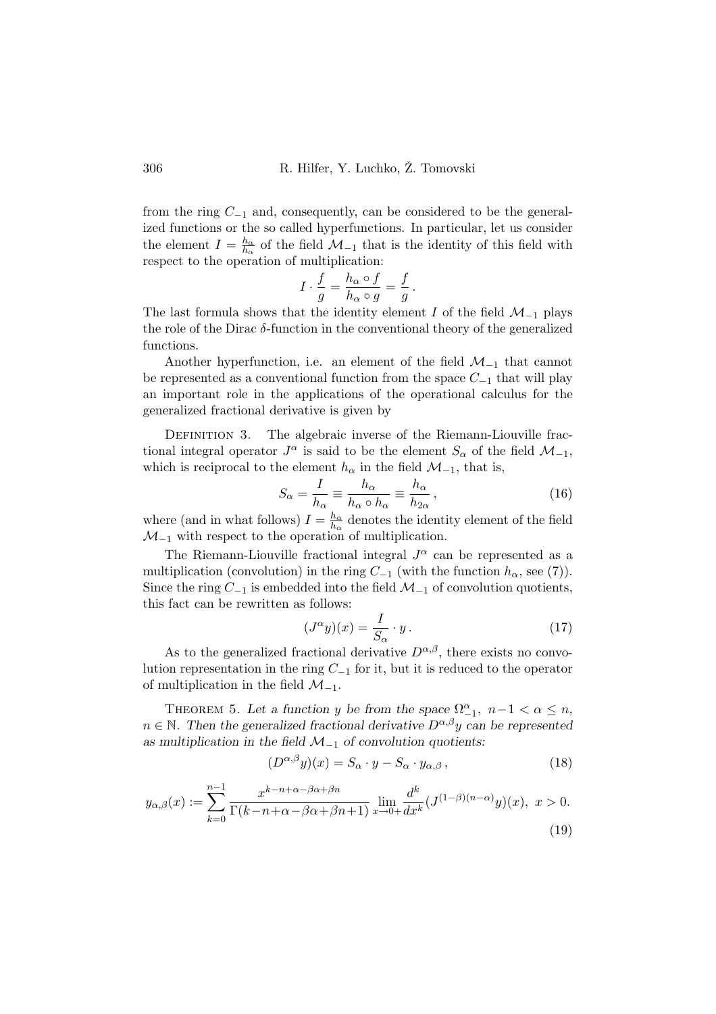from the ring  $C_{-1}$  and, consequently, can be considered to be the generalized functions or the so called hyperfunctions. In particular, let us consider the element  $I = \frac{h_{\alpha}}{h}$  $\frac{h_{\alpha}}{h_{\alpha}}$  of the field  $\mathcal{M}_{-1}$  that is the identity of this field with respect to the operation of multiplication:

$$
I \cdot \frac{f}{g} = \frac{h_{\alpha} \circ f}{h_{\alpha} \circ g} = \frac{f}{g}.
$$

The last formula shows that the identity element I of the field  $\mathcal{M}_{-1}$  plays the role of the Dirac  $\delta$ -function in the conventional theory of the generalized functions.

Another hyperfunction, i.e. an element of the field  $\mathcal{M}_{-1}$  that cannot be represented as a conventional function from the space  $C_{-1}$  that will play an important role in the applications of the operational calculus for the generalized fractional derivative is given by

DEFINITION 3. The algebraic inverse of the Riemann-Liouville fractional integral operator  $J^{\alpha}$  is said to be the element  $S_{\alpha}$  of the field  $\mathcal{M}_{-1}$ , which is reciprocal to the element  $h_{\alpha}$  in the field  $\mathcal{M}_{-1}$ , that is,

$$
S_{\alpha} = \frac{I}{h_{\alpha}} \equiv \frac{h_{\alpha}}{h_{\alpha} \circ h_{\alpha}} \equiv \frac{h_{\alpha}}{h_{2\alpha}},\tag{16}
$$

where (and in what follows)  $I = \frac{h_{\alpha}}{h}$  $\frac{h_{\alpha}}{h_{\alpha}}$  denotes the identity element of the field  $\mathcal{M}_{-1}$  with respect to the operation of multiplication.

The Riemann-Liouville fractional integral  $J^{\alpha}$  can be represented as a multiplication (convolution) in the ring  $C_{-1}$  (with the function  $h_{\alpha}$ , see (7)). Since the ring  $C_{-1}$  is embedded into the field  $\mathcal{M}_{-1}$  of convolution quotients, this fact can be rewritten as follows:

$$
(J^{\alpha}y)(x) = \frac{I}{S_{\alpha}} \cdot y. \tag{17}
$$

As to the generalized fractional derivative  $D^{\alpha,\beta}$ , there exists no convolution representation in the ring  $C_{-1}$  for it, but it is reduced to the operator of multiplication in the field  $\mathcal{M}_{-1}$ .

THEOREM 5. Let a function y be from the space  $\Omega_{-1}^{\alpha}$ ,  $n-1 < \alpha \leq n$ ,  $n \in \mathbb{N}$ . Then the generalized fractional derivative  $D^{\alpha,\beta}y$  can be represented as multiplication in the field  $\mathcal{M}_{-1}$  of convolution quotients:

$$
(D^{\alpha,\beta}y)(x) = S_{\alpha} \cdot y - S_{\alpha} \cdot y_{\alpha,\beta}, \qquad (18)
$$

$$
y_{\alpha,\beta}(x) := \sum_{k=0}^{n-1} \frac{x^{k-n+\alpha-\beta\alpha+\beta n}}{\Gamma(k-n+\alpha-\beta\alpha+\beta n+1)} \lim_{x\to 0+} \frac{d^k}{dx^k} (J^{(1-\beta)(n-\alpha)}y)(x), \ x > 0.
$$
\n(19)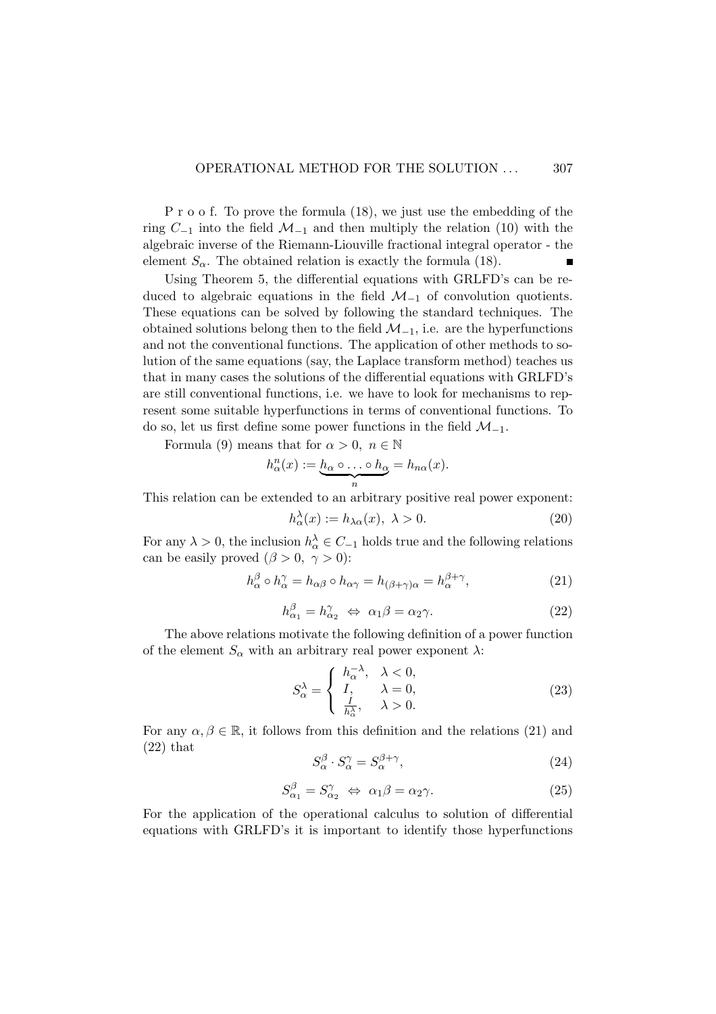P r o o f. To prove the formula (18), we just use the embedding of the ring  $C_{-1}$  into the field  $\mathcal{M}_{-1}$  and then multiply the relation (10) with the algebraic inverse of the Riemann-Liouville fractional integral operator - the element  $S_{\alpha}$ . The obtained relation is exactly the formula (18).

Using Theorem 5, the differential equations with GRLFD's can be reduced to algebraic equations in the field  $\mathcal{M}_{-1}$  of convolution quotients. These equations can be solved by following the standard techniques. The obtained solutions belong then to the field  $\mathcal{M}_{-1}$ , i.e. are the hyperfunctions and not the conventional functions. The application of other methods to solution of the same equations (say, the Laplace transform method) teaches us that in many cases the solutions of the differential equations with GRLFD's are still conventional functions, i.e. we have to look for mechanisms to represent some suitable hyperfunctions in terms of conventional functions. To do so, let us first define some power functions in the field  $\mathcal{M}_{-1}$ .

Formula (9) means that for  $\alpha > 0$ ,  $n \in \mathbb{N}$ 

$$
h^n_{\alpha}(x) := \underbrace{h_{\alpha} \circ \ldots \circ h_{\alpha}}_{n} = h_{n\alpha}(x).
$$

This relation can be extended to an arbitrary positive real power exponent:

$$
h_{\alpha}^{\lambda}(x) := h_{\lambda\alpha}(x), \ \lambda > 0. \tag{20}
$$

For any  $\lambda > 0$ , the inclusion  $h_{\alpha}^{\lambda} \in C_{-1}$  holds true and the following relations can be easily proved  $(\beta > 0, \gamma > 0)$ :

$$
h_{\alpha}^{\beta} \circ h_{\alpha}^{\gamma} = h_{\alpha\beta} \circ h_{\alpha\gamma} = h_{(\beta+\gamma)\alpha} = h_{\alpha}^{\beta+\gamma},\tag{21}
$$

$$
h_{\alpha_1}^{\beta} = h_{\alpha_2}^{\gamma} \Leftrightarrow \alpha_1 \beta = \alpha_2 \gamma. \tag{22}
$$

The above relations motivate the following definition of a power function of the element  $S_{\alpha}$  with an arbitrary real power exponent  $\lambda$ :

$$
S_{\alpha}^{\lambda} = \begin{cases} h_{\alpha}^{-\lambda}, & \lambda < 0, \\ I, & \lambda = 0, \\ \frac{I}{h_{\alpha}^{\lambda}}, & \lambda > 0. \end{cases}
$$
 (23)

For any  $\alpha, \beta \in \mathbb{R}$ , it follows from this definition and the relations (21) and (22) that

$$
S_{\alpha}^{\beta} \cdot S_{\alpha}^{\gamma} = S_{\alpha}^{\beta + \gamma},\tag{24}
$$

$$
S_{\alpha_1}^{\beta} = S_{\alpha_2}^{\gamma} \iff \alpha_1 \beta = \alpha_2 \gamma. \tag{25}
$$

For the application of the operational calculus to solution of differential equations with GRLFD's it is important to identify those hyperfunctions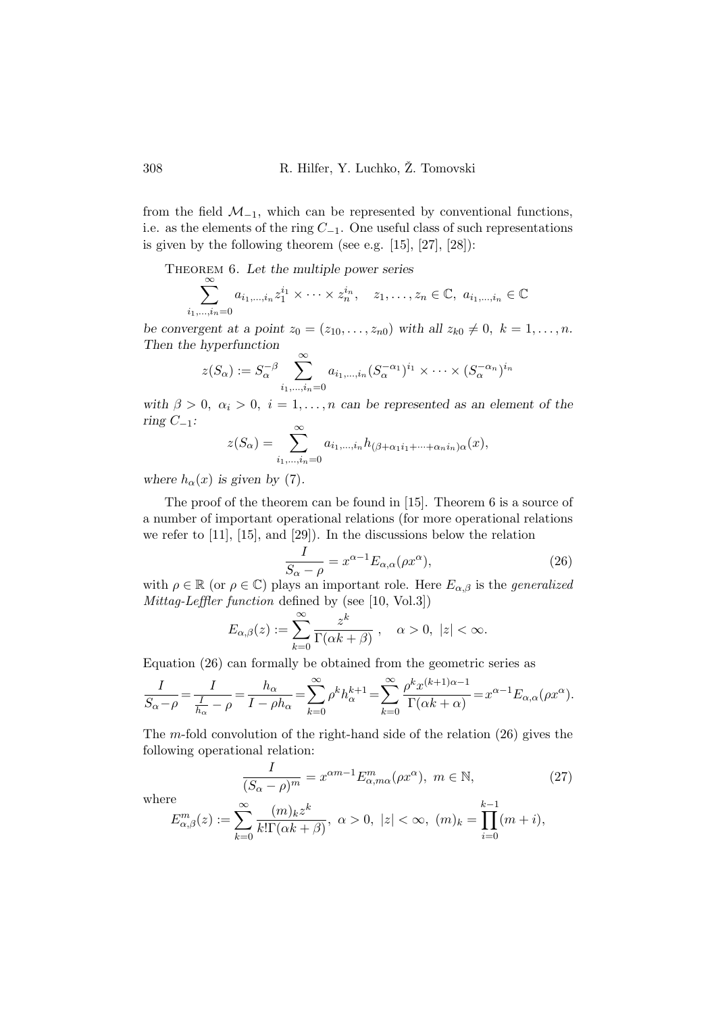from the field  $\mathcal{M}_{-1}$ , which can be represented by conventional functions, i.e. as the elements of the ring  $C_{-1}$ . One useful class of such representations is given by the following theorem (see e.g.  $[15]$ ,  $[27]$ ,  $[28]$ ):

THEOREM 6. Let the multiple power series

$$
\sum_{i_1,\dots,i_n=0}^{\infty} a_{i_1,\dots,i_n} z_1^{i_1} \times \dots \times z_n^{i_n}, \quad z_1,\dots,z_n \in \mathbb{C}, \ a_{i_1,\dots,i_n} \in \mathbb{C}
$$

be convergent at a point  $z_0 = (z_{10}, \ldots, z_{n0})$  with all  $z_{k0} \neq 0, k = 1, \ldots, n$ . Then the hyperfunction

$$
z(S_{\alpha}) := S_{\alpha}^{-\beta} \sum_{i_1,\dots,i_n=0}^{\infty} a_{i_1,\dots,i_n} (S_{\alpha}^{-\alpha_1})^{i_1} \times \dots \times (S_{\alpha}^{-\alpha_n})^{i_n}
$$

with  $\beta > 0$ ,  $\alpha_i > 0$ ,  $i = 1, ..., n$  can be represented as an element of the ring  $C_{-1}$ :

$$
z(S_{\alpha}) = \sum_{i_1,\dots,i_n=0}^{\infty} a_{i_1,\dots,i_n} h_{(\beta+\alpha_1 i_1+\dots+\alpha_n i_n)\alpha}(x),
$$

where  $h_{\alpha}(x)$  is given by (7).

The proof of the theorem can be found in [15]. Theorem 6 is a source of a number of important operational relations (for more operational relations we refer to [11], [15], and [29]). In the discussions below the relation

$$
\frac{I}{S_{\alpha} - \rho} = x^{\alpha - 1} E_{\alpha, \alpha} (\rho x^{\alpha}), \qquad (26)
$$

with  $\rho \in \mathbb{R}$  (or  $\rho \in \mathbb{C}$ ) plays an important role. Here  $E_{\alpha,\beta}$  is the *generalized* Mittag-Leffler function defined by (see [10, Vol.3])

$$
E_{\alpha,\beta}(z) := \sum_{k=0}^{\infty} \frac{z^k}{\Gamma(\alpha k + \beta)}, \quad \alpha > 0, \ |z| < \infty.
$$

Equation (26) can formally be obtained from the geometric series as

$$
\frac{I}{S_{\alpha}-\rho} = \frac{I}{\frac{I}{h_{\alpha}}-\rho} = \frac{h_{\alpha}}{I-\rho h_{\alpha}} = \sum_{k=0}^{\infty} \rho^k h_{\alpha}^{k+1} = \sum_{k=0}^{\infty} \frac{\rho^k x^{(k+1)\alpha-1}}{\Gamma(\alpha k + \alpha)} = x^{\alpha-1} E_{\alpha,\alpha}(\rho x^{\alpha}).
$$

The m-fold convolution of the right-hand side of the relation  $(26)$  gives the following operational relation:

$$
\frac{I}{(S_{\alpha} - \rho)^{m}} = x^{\alpha m - 1} E^{m}_{\alpha, m\alpha}(\rho x^{\alpha}), \ m \in \mathbb{N},
$$
\n(27)

where

$$
E_{\alpha,\beta}^m(z) := \sum_{k=0}^{\infty} \frac{(m)_k z^k}{k! \Gamma(\alpha k + \beta)}, \ \alpha > 0, \ |z| < \infty, \ (m)_k = \prod_{i=0}^{k-1} (m+i),
$$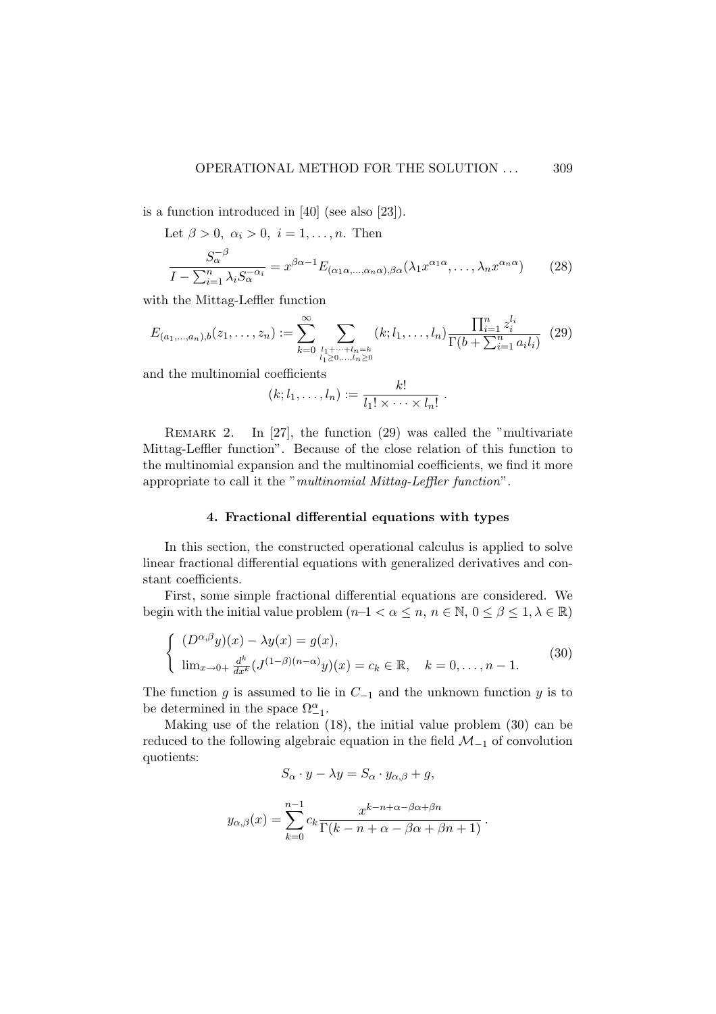is a function introduced in [40] (see also [23]).

Let  $\beta > 0$ ,  $\alpha_i > 0$ ,  $i = 1, \ldots, n$ . Then

$$
\frac{S_{\alpha}^{-\beta}}{I - \sum_{i=1}^{n} \lambda_{i} S_{\alpha}^{-\alpha_{i}}} = x^{\beta \alpha - 1} E_{(\alpha_{1} \alpha, \dots, \alpha_{n} \alpha), \beta \alpha} (\lambda_{1} x^{\alpha_{1} \alpha}, \dots, \lambda_{n} x^{\alpha_{n} \alpha})
$$
(28)

with the Mittag-Leffler function

$$
E_{(a_1,...,a_n),b}(z_1,...,z_n) := \sum_{k=0}^{\infty} \sum_{\substack{l_1+\cdots+l_n=k\\l_1\geq 0,\ldots,l_n\geq 0}} (k;l_1,\ldots,l_n) \frac{\prod_{i=1}^n z_i^{l_i}}{\Gamma(b+\sum_{i=1}^n a_i l_i)} \tag{29}
$$

and the multinomial coefficients

$$
(k;l_1,\ldots,l_n):=\frac{k!}{l_1!\times\cdots\times l_n!}.
$$

REMARK 2. In  $[27]$ , the function  $(29)$  was called the "multivariate" Mittag-Leffler function". Because of the close relation of this function to the multinomial expansion and the multinomial coefficients, we find it more appropriate to call it the "multinomial Mittag-Leffler function".

## 4. Fractional differential equations with types

In this section, the constructed operational calculus is applied to solve linear fractional differential equations with generalized derivatives and constant coefficients.

First, some simple fractional differential equations are considered. We begin with the initial value problem  $(n-1 < \alpha \leq n, n \in \mathbb{N}, 0 \leq \beta \leq 1, \lambda \in \mathbb{R})$ 

$$
\begin{cases}\n(D^{\alpha,\beta}y)(x) - \lambda y(x) = g(x), \\
\lim_{x \to 0+} \frac{d^k}{dx^k} (J^{(1-\beta)(n-\alpha)}y)(x) = c_k \in \mathbb{R}, \quad k = 0, \dots, n-1.\n\end{cases}
$$
\n(30)

The function g is assumed to lie in  $C_{-1}$  and the unknown function y is to be determined in the space  $\Omega_{-1}^{\alpha}$ .

Making use of the relation (18), the initial value problem (30) can be reduced to the following algebraic equation in the field  $\mathcal{M}_{-1}$  of convolution quotients:

$$
S_{\alpha} \cdot y - \lambda y = S_{\alpha} \cdot y_{\alpha, \beta} + g,
$$

$$
y_{\alpha,\beta}(x) = \sum_{k=0}^{n-1} c_k \frac{x^{k-n+\alpha-\beta\alpha+\beta n}}{\Gamma(k-n+\alpha-\beta\alpha+\beta n+1)}.
$$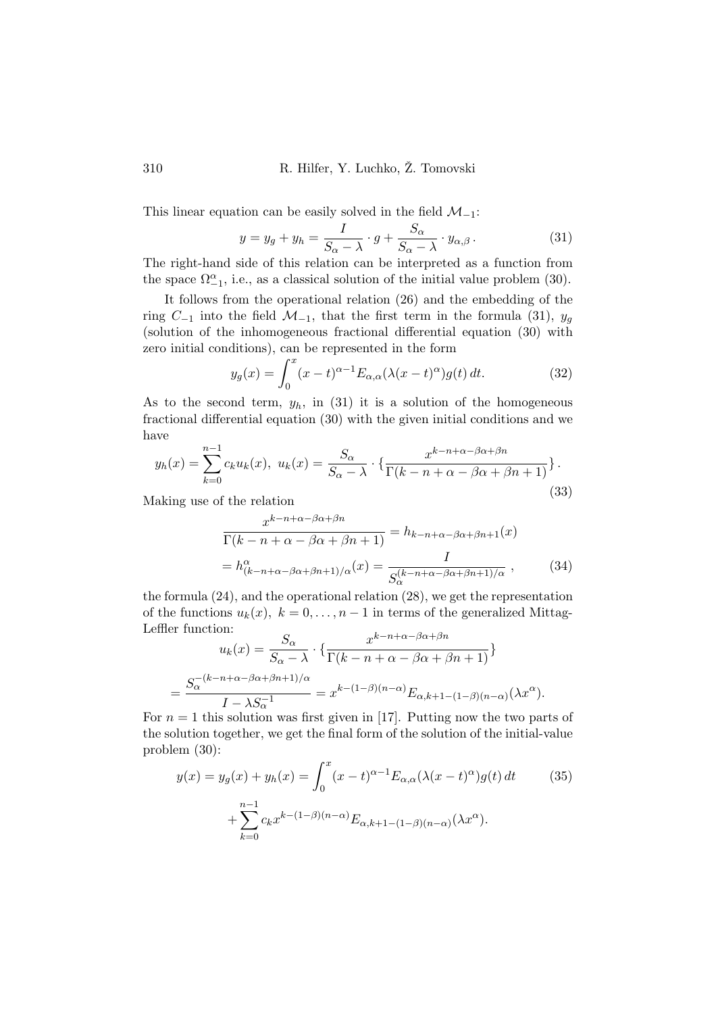This linear equation can be easily solved in the field  $\mathcal{M}_{-1}$ :

$$
y = y_g + y_h = \frac{I}{S_{\alpha} - \lambda} \cdot g + \frac{S_{\alpha}}{S_{\alpha} - \lambda} \cdot y_{\alpha, \beta}.
$$
 (31)

The right-hand side of this relation can be interpreted as a function from the space  $\Omega_{-1}^{\alpha}$ , i.e., as a classical solution of the initial value problem (30).

It follows from the operational relation (26) and the embedding of the ring  $C_{-1}$  into the field  $\mathcal{M}_{-1}$ , that the first term in the formula (31),  $y_g$ (solution of the inhomogeneous fractional differential equation (30) with

zero initial conditions), can be represented in the form  
\n
$$
y_g(x) = \int_0^x (x - t)^{\alpha - 1} E_{\alpha,\alpha}(\lambda(x - t)^{\alpha}) g(t) dt.
$$
\n(32)

As to the second term,  $y_h$ , in (31) it is a solution of the homogeneous fractional differential equation (30) with the given initial conditions and we have

$$
y_h(x) = \sum_{k=0}^{n-1} c_k u_k(x), \ u_k(x) = \frac{S_\alpha}{S_\alpha - \lambda} \cdot \left\{ \frac{x^{k-n+\alpha-\beta\alpha+\beta n}}{\Gamma(k-n+\alpha-\beta\alpha+\beta n+1)} \right\}.
$$
\n(33)

(33) Making use of the relation

$$
\frac{x^{k-n+\alpha-\beta\alpha+\beta n}}{\Gamma(k-n+\alpha-\beta\alpha+\beta n+1)} = h_{k-n+\alpha-\beta\alpha+\beta n+1}(x)
$$

$$
= h^{\alpha}_{(k-n+\alpha-\beta\alpha+\beta n+1)/\alpha}(x) = \frac{I}{S_{\alpha}^{(k-n+\alpha-\beta\alpha+\beta n+1)/\alpha}}, \qquad (34)
$$

the formula (24), and the operational relation (28), we get the representation of the functions  $u_k(x)$ ,  $k = 0, \ldots, n-1$  in terms of the generalized Mittag-Leffler function:

$$
u_k(x) = \frac{S_{\alpha}}{S_{\alpha} - \lambda} \cdot \left\{ \frac{x^{k-n+\alpha-\beta\alpha+\beta n}}{\Gamma(k-n+\alpha-\beta\alpha+\beta n+1)} \right\}
$$

$$
= \frac{S_{\alpha}^{-(k-n+\alpha-\beta\alpha+\beta n+1)/\alpha}}{I - \lambda S_{\alpha}^{-1}} = x^{k-(1-\beta)(n-\alpha)} E_{\alpha,k+1-(1-\beta)(n-\alpha)}(\lambda x^{\alpha}).
$$

For  $n = 1$  this solution was first given in [17]. Putting now the two parts of the solution together, we get the final form of the solution of the initial-value problem (30):

$$
y(x) = y_g(x) + y_h(x) = \int_0^x (x - t)^{\alpha - 1} E_{\alpha, \alpha}(\lambda (x - t)^{\alpha}) g(t) dt
$$
 (35)  
+ 
$$
\sum_{k=0}^{n-1} c_k x^{k - (1 - \beta)(n - \alpha)} E_{\alpha, k + 1 - (1 - \beta)(n - \alpha)}(\lambda x^{\alpha}).
$$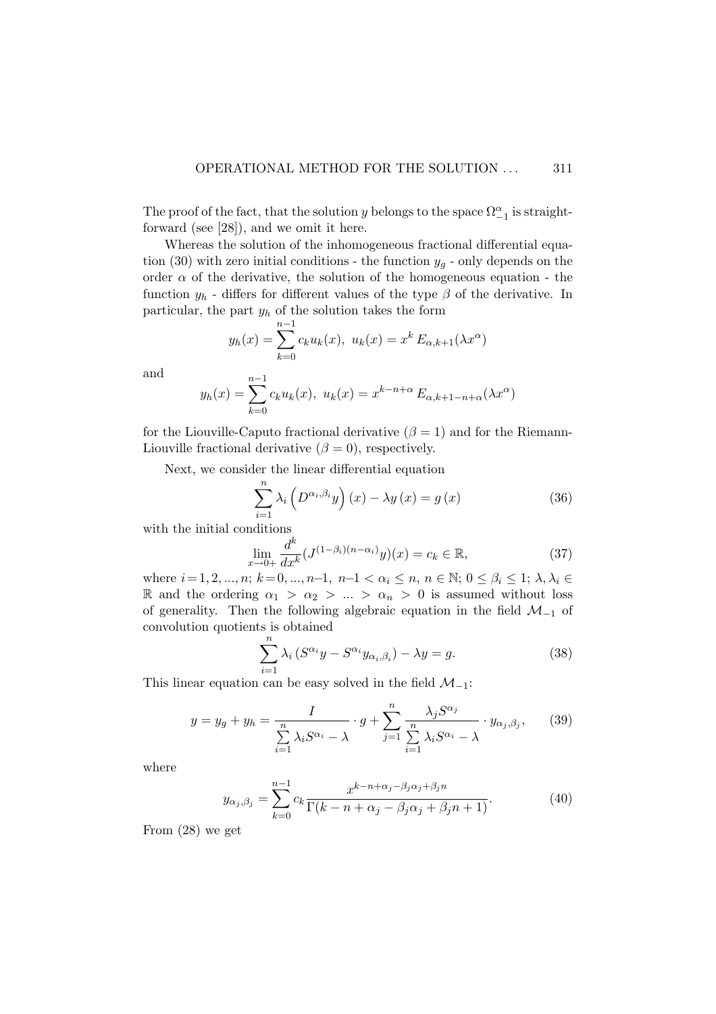The proof of the fact, that the solution y belongs to the space  $\Omega_{-1}^{\alpha}$  is straightforward (see [28]), and we omit it here.

Whereas the solution of the inhomogeneous fractional differential equation (30) with zero initial conditions - the function  $y_q$  - only depends on the order  $\alpha$  of the derivative, the solution of the homogeneous equation - the function  $y_h$  - differs for different values of the type  $\beta$  of the derivative. In particular, the part  $y_h$  of the solution takes the form  $m-1$ 

$$
y_h(x) = \sum_{k=0}^{n-1} c_k u_k(x), \ u_k(x) = x^k E_{\alpha, k+1}(\lambda x^{\alpha})
$$

and

$$
y_h(x) = \sum_{k=0}^{n-1} c_k u_k(x), \ u_k(x) = x^{k-n+\alpha} E_{\alpha, k+1-n+\alpha}(\lambda x^{\alpha})
$$

for the Liouville-Caputo fractional derivative ( $\beta = 1$ ) and for the Riemann-Liouville fractional derivative  $(\beta = 0)$ , respectively.

Next, we consider the linear differential equation

$$
\sum_{i=1}^{n} \lambda_i \left( D^{\alpha_i, \beta_i} y \right) (x) - \lambda y (x) = g (x) \tag{36}
$$

with the initial conditions

$$
\lim_{x \to 0+} \frac{d^k}{dx^k} (J^{(1-\beta_i)(n-\alpha_i)}y)(x) = c_k \in \mathbb{R},
$$
\n(37)

where  $i = 1, 2, ..., n$ ;  $k = 0, ..., n-1$ ,  $n-1 < \alpha_i \leq n$ ,  $n \in \mathbb{N}$ ;  $0 \leq \beta_i \leq 1$ ;  $\lambda, \lambda_i \in$ R and the ordering  $\alpha_1 > \alpha_2 > ... > \alpha_n > 0$  is assumed without loss of generality. Then the following algebraic equation in the field  $\mathcal{M}_{-1}$  of convolution quotients is obtained

$$
\sum_{i=1}^{n} \lambda_i \left( S^{\alpha_i} y - S^{\alpha_i} y_{\alpha_i, \beta_i} \right) - \lambda y = g. \tag{38}
$$

This linear equation can be easy solved in the field  $\mathcal{M}_{-1}$ :

$$
y = y_g + y_h = \frac{I}{\sum_{i=1}^n \lambda_i S^{\alpha_i} - \lambda} \cdot g + \sum_{j=1}^n \frac{\lambda_j S^{\alpha_j}}{\sum_{i=1}^n \lambda_i S^{\alpha_i} - \lambda} \cdot y_{\alpha_j, \beta_j},
$$
(39)

where

$$
y_{\alpha_j,\beta_j} = \sum_{k=0}^{n-1} c_k \frac{x^{k-n+\alpha_j-\beta_j\alpha_j+\beta_jn}}{\Gamma(k-n+\alpha_j-\beta_j\alpha_j+\beta_jn+1)}.
$$
 (40)

From (28) we get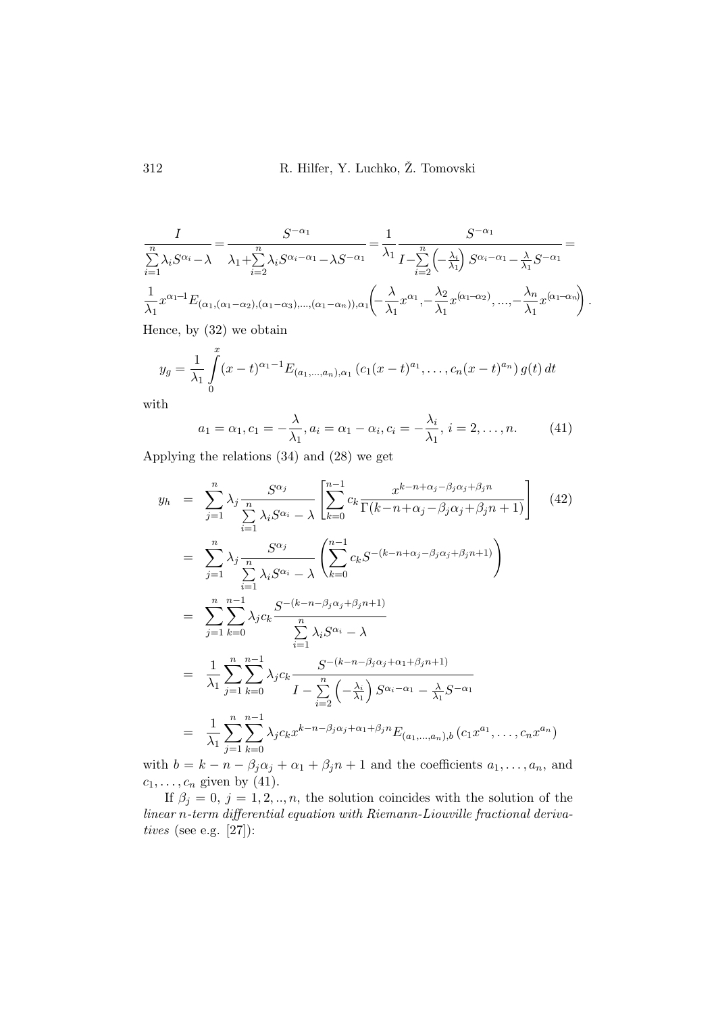$$
\frac{I}{\sum_{i=1}^{n} \lambda_i S^{\alpha_i} - \lambda} = \frac{S^{-\alpha_1}}{\lambda_1 + \sum_{i=2}^{n} \lambda_i S^{\alpha_i - \alpha_1} - \lambda S^{-\alpha_1}} = \frac{1}{\lambda_1} \frac{S^{-\alpha_1}}{I - \sum_{i=2}^{n} \left(-\frac{\lambda_i}{\lambda_1}\right) S^{\alpha_i - \alpha_1} - \frac{\lambda}{\lambda_1} S^{-\alpha_1}} = \frac{1}{\lambda_1} x^{\alpha_1 - 1} E_{(\alpha_1, (\alpha_1 - \alpha_2), (\alpha_1 - \alpha_3), \dots, (\alpha_1 - \alpha_n)), \alpha_1} \left(-\frac{\lambda}{\lambda_1} x^{\alpha_1}, -\frac{\lambda_2}{\lambda_1} x^{(\alpha_1 - \alpha_2)}, \dots, -\frac{\lambda_n}{\lambda_1} x^{(\alpha_1 - \alpha_n)}\right).
$$

Hence, by (32) we obtain

$$
y_g = \frac{1}{\lambda_1} \int_0^x (x-t)^{\alpha_1-1} E_{(a_1,...,a_n),\alpha_1} (c_1(x-t)^{a_1}, \ldots, c_n(x-t)^{a_n}) g(t) dt
$$

with

$$
a_1 = \alpha_1, c_1 = -\frac{\lambda}{\lambda_1}, a_i = \alpha_1 - \alpha_i, c_i = -\frac{\lambda_i}{\lambda_1}, i = 2, \dots, n.
$$
 (41)

Applying the relations (34) and (28) we get

$$
y_{h} = \sum_{j=1}^{n} \lambda_{j} \frac{S^{\alpha_{j}}}{\sum_{i=1}^{n} \lambda_{i} S^{\alpha_{i}} - \lambda} \left[ \sum_{k=0}^{n-1} c_{k} \frac{x^{k-n+\alpha_{j}-\beta_{j}\alpha_{j}+\beta_{j}n}}{\Gamma(k-n+\alpha_{j}-\beta_{j}\alpha_{j}+\beta_{j}n+1)} \right] (42)
$$
  
\n
$$
= \sum_{j=1}^{n} \lambda_{j} \frac{S^{\alpha_{j}}}{\sum_{i=1}^{n} \lambda_{i} S^{\alpha_{i}} - \lambda} \left( \sum_{k=0}^{n-1} c_{k} S^{-(k-n+\alpha_{j}-\beta_{j}\alpha_{j}+\beta_{j}n+1)} \right)
$$
  
\n
$$
= \sum_{j=1}^{n} \sum_{k=0}^{n-1} \lambda_{j} c_{k} \frac{S^{-(k-n-\beta_{j}\alpha_{j}+\beta_{j}n+1)}}{\sum_{i=1}^{n} \lambda_{i} S^{\alpha_{i}} - \lambda}
$$
  
\n
$$
= \frac{1}{\lambda_{1}} \sum_{j=1}^{n} \sum_{k=0}^{n-1} \lambda_{j} c_{k} \frac{S^{-(k-n-\beta_{j}\alpha_{j}+\alpha_{1}+\beta_{j}n+1)}}{I - \sum_{i=2}^{n} \left( -\frac{\lambda_{i}}{\lambda_{1}} \right) S^{\alpha_{i}-\alpha_{1}} - \frac{\lambda}{\lambda_{1}} S^{-\alpha_{1}}
$$
  
\n
$$
= \frac{1}{\lambda_{1}} \sum_{j=1}^{n} \sum_{k=0}^{n-1} \lambda_{j} c_{k} x^{k-n-\beta_{j}\alpha_{j}+\alpha_{1}+\beta_{j}n} E_{(a_{1},...,a_{n}),b} (c_{1} x^{a_{1}},...,c_{n} x^{a_{n}})
$$

with  $b = k - n - \beta_j \alpha_j + \alpha_1 + \beta_j n + 1$  and the coefficients  $a_1, \ldots, a_n$ , and  $c_1, \ldots, c_n$  given by (41).

If  $\beta_j = 0, j = 1, 2, ..., n$ , the solution coincides with the solution of the linear n-term differential equation with Riemann-Liouville fractional derivatives (see e.g. [27]):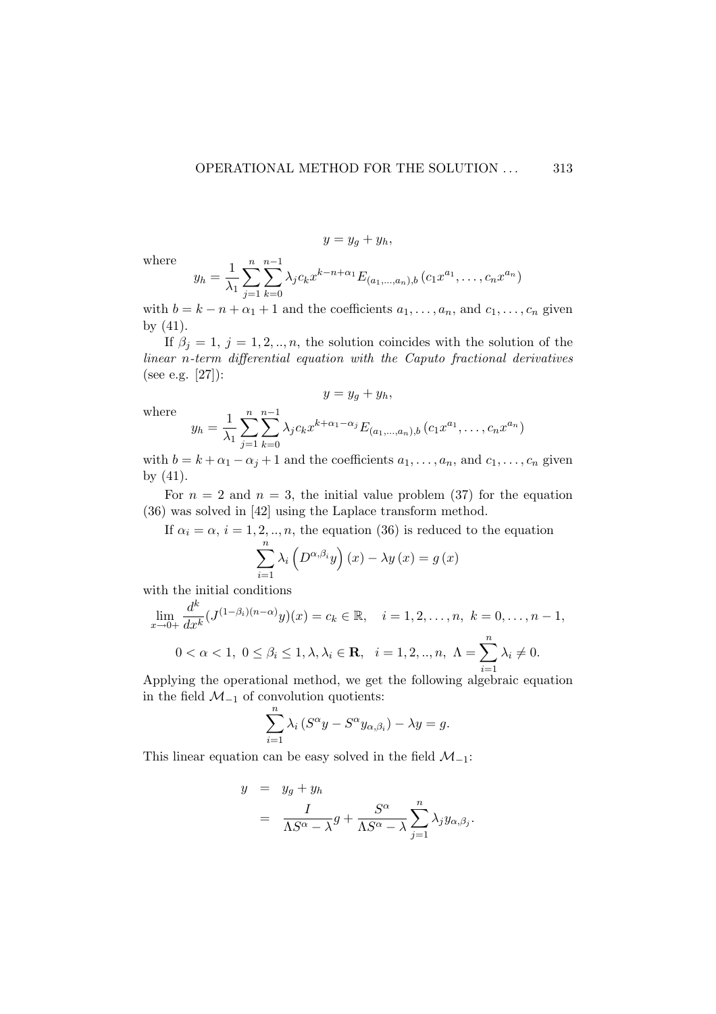where

$$
y=y_g+y_h,
$$

$$
y_h = \frac{1}{\lambda_1} \sum_{j=1}^n \sum_{k=0}^{n-1} \lambda_j c_k x^{k-n+\alpha_1} E_{(a_1,...,a_n),b} (c_1 x^{a_1}, \dots, c_n x^{a_n})
$$

with  $b = k - n + \alpha_1 + 1$  and the coefficients  $a_1, \ldots, a_n$ , and  $c_1, \ldots, c_n$  given by (41).

If  $\beta_j = 1, j = 1, 2, ..., n$ , the solution coincides with the solution of the linear n-term differential equation with the Caputo fractional derivatives (see e.g. [27]):

 $y = y_q + y_h$ 

where

$$
y_h = \frac{1}{\lambda_1} \sum_{j=1}^n \sum_{k=0}^{n-1} \lambda_j c_k x^{k+\alpha_1-\alpha_j} E_{(a_1,...,a_n),b} (c_1 x^{a_1}, \dots, c_n x^{a_n})
$$

with  $b = k + \alpha_1 - \alpha_j + 1$  and the coefficients  $a_1, \ldots, a_n$ , and  $c_1, \ldots, c_n$  given by (41).

For  $n = 2$  and  $n = 3$ , the initial value problem (37) for the equation (36) was solved in [42] using the Laplace transform method.

If  $\alpha_i = \alpha$ ,  $i = 1, 2, ..., n$ , the equation (36) is reduced to the equation

$$
\sum_{i=1}^{n} \lambda_i \left( D^{\alpha, \beta_i} y \right) (x) - \lambda y (x) = g (x)
$$

with the initial conditions

$$
\lim_{x \to 0+} \frac{d^k}{dx^k} (J^{(1-\beta_i)(n-\alpha)}y)(x) = c_k \in \mathbb{R}, \quad i = 1, 2, ..., n, \ k = 0, ..., n-1,
$$
  

$$
0 < \alpha < 1, \ 0 \le \beta_i \le 1, \lambda, \lambda_i \in \mathbb{R}, \quad i = 1, 2, ..., n, \ \Lambda = \sum_{i=1}^n \lambda_i \ne 0.
$$

Applying the operational method, we get the following algebraic equation in the field  $\mathcal{M}_{-1}$  of convolution quotients:

$$
\sum_{i=1}^{n} \lambda_i (S^{\alpha} y - S^{\alpha} y_{\alpha, \beta_i}) - \lambda y = g.
$$

This linear equation can be easy solved in the field  $\mathcal{M}_{-1}$ :

$$
y = y_g + y_h
$$
  
=  $\frac{I}{\Lambda S^{\alpha} - \lambda} g + \frac{S^{\alpha}}{\Lambda S^{\alpha} - \lambda} \sum_{j=1}^{n} \lambda_j y_{\alpha, \beta_j}.$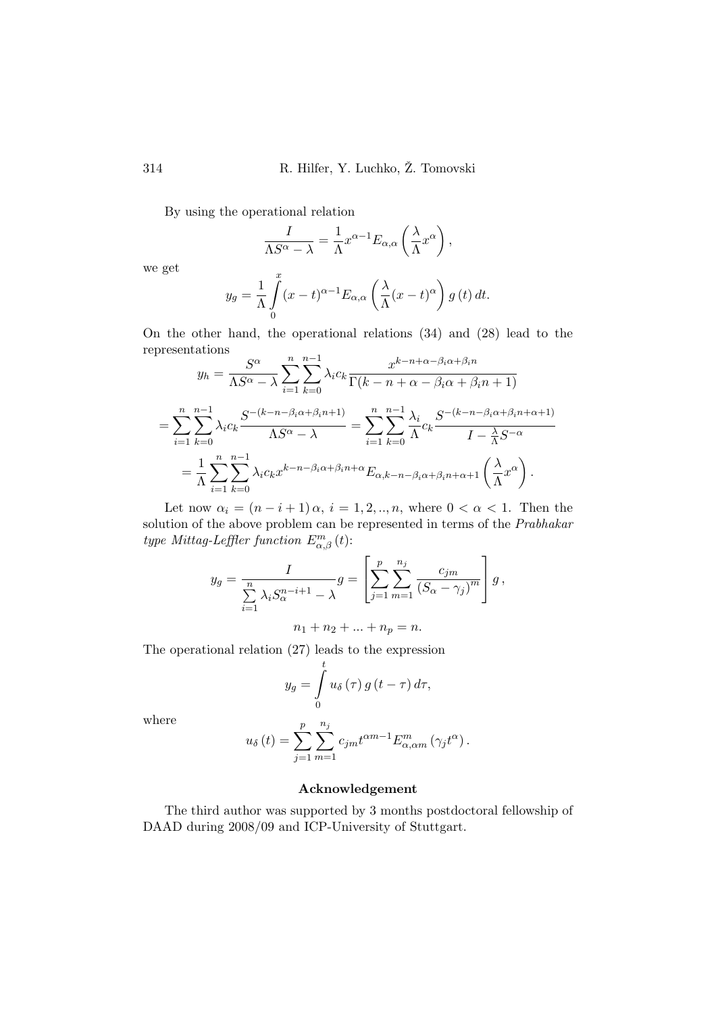By using the operational relation

$$
\frac{I}{\Lambda S^{\alpha} - \lambda} = \frac{1}{\Lambda} x^{\alpha - 1} E_{\alpha,\alpha} \left( \frac{\lambda}{\Lambda} x^{\alpha} \right),
$$

we get

$$
y_g = \frac{1}{\Lambda} \int_0^x (x - t)^{\alpha - 1} E_{\alpha,\alpha} \left( \frac{\lambda}{\Lambda} (x - t)^{\alpha} \right) g(t) dt.
$$

On the other hand, the operational relations (34) and (28) lead to the representations

$$
y_h = \frac{S^{\alpha}}{\Lambda S^{\alpha} - \lambda} \sum_{i=1}^n \sum_{k=0}^{n-1} \lambda_i c_k \frac{x^{k-n+\alpha-\beta_i\alpha+\beta_i n}}{\Gamma(k-n+\alpha-\beta_i\alpha+\beta_i n+1)}
$$
  
= 
$$
\sum_{i=1}^n \sum_{k=0}^{n-1} \lambda_i c_k \frac{S^{-(k-n-\beta_i\alpha+\beta_i n+1)}}{\Lambda S^{\alpha} - \lambda} = \sum_{i=1}^n \sum_{k=0}^{n-1} \frac{\lambda_i}{\Lambda} c_k \frac{S^{-(k-n-\beta_i\alpha+\beta_i n+\alpha+1)}}{I - \frac{\lambda}{\Lambda} S^{-\alpha}}
$$
  
= 
$$
\frac{1}{\Lambda} \sum_{i=1}^n \sum_{k=0}^{n-1} \lambda_i c_k x^{k-n-\beta_i\alpha+\beta_i n+\alpha} E_{\alpha, k-n-\beta_i\alpha+\beta_i n+\alpha+1} \left(\frac{\lambda}{\Lambda} x^{\alpha}\right).
$$

Let now  $\alpha_i = (n-i+1)\alpha$ ,  $i = 1, 2, ..., n$ , where  $0 < \alpha < 1$ . Then the solution of the above problem can be represented in terms of the Prabhakar type Mittag-Leffler function  $E_{\alpha,\beta}^{m}(t)$ :

$$
y_g = \frac{I}{\sum_{i=1}^n \lambda_i S_{\alpha}^{n-i+1} - \lambda} g = \left[ \sum_{j=1}^p \sum_{m=1}^{n_j} \frac{c_{jm}}{(S_{\alpha} - \gamma_j)^m} \right] g,
$$
  

$$
n_1 + n_2 + \dots + n_p = n.
$$

The operational relation (27) leads to the expression

$$
y_g = \int\limits_0^t u_\delta(\tau) g(t-\tau) d\tau,
$$

where

$$
u_{\delta}\left(t\right)=\sum_{j=1}^{p}\sum_{m=1}^{n_{j}}c_{jm}t^{\alpha m-1}E_{\alpha,\alpha m}^{m}\left(\gamma_{j}t^{\alpha}\right).
$$

# Acknowledgement

The third author was supported by 3 months postdoctoral fellowship of DAAD during 2008/09 and ICP-University of Stuttgart.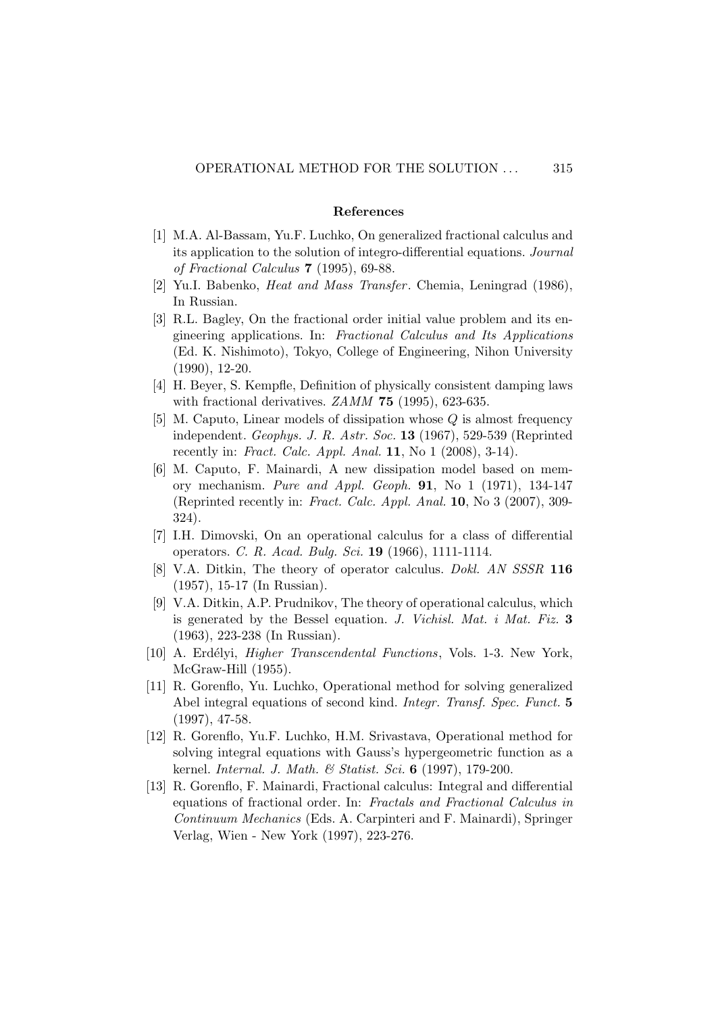### References

- [1] M.A. Al-Bassam, Yu.F. Luchko, On generalized fractional calculus and its application to the solution of integro-differential equations. Journal of Fractional Calculus 7 (1995), 69-88.
- [2] Yu.I. Babenko, *Heat and Mass Transfer*. Chemia, Leningrad (1986), In Russian.
- [3] R.L. Bagley, On the fractional order initial value problem and its engineering applications. In: Fractional Calculus and Its Applications (Ed. K. Nishimoto), Tokyo, College of Engineering, Nihon University (1990), 12-20.
- [4] H. Beyer, S. Kempfle, Definition of physically consistent damping laws with fractional derivatives. *ZAMM* 75 (1995), 623-635.
- [5] M. Caputo, Linear models of dissipation whose Q is almost frequency independent. Geophys. J. R. Astr. Soc. 13 (1967), 529-539 (Reprinted recently in: Fract. Calc. Appl. Anal.  $11$ , No  $1$  (2008), 3-14).
- [6] M. Caputo, F. Mainardi, A new dissipation model based on memory mechanism. Pure and Appl. Geoph. 91, No 1 (1971), 134-147 (Reprinted recently in: Fract. Calc. Appl. Anal. 10, No 3 (2007), 309- 324).
- [7] I.H. Dimovski, On an operational calculus for a class of differential operators. C. R. Acad. Bulg. Sci. 19 (1966), 1111-1114.
- [8] V.A. Ditkin, The theory of operator calculus. *Dokl. AN SSSR* 116 (1957), 15-17 (In Russian).
- [9] V.A. Ditkin, A.P. Prudnikov, The theory of operational calculus, which is generated by the Bessel equation. J. Vichisl. Mat. i Mat. Fiz. 3 (1963), 223-238 (In Russian).
- [10] A. Erdélyi, *Higher Transcendental Functions*, Vols. 1-3. New York, McGraw-Hill (1955).
- [11] R. Gorenflo, Yu. Luchko, Operational method for solving generalized Abel integral equations of second kind. Integr. Transf. Spec. Funct. 5 (1997), 47-58.
- [12] R. Gorenflo, Yu.F. Luchko, H.M. Srivastava, Operational method for solving integral equations with Gauss's hypergeometric function as a kernel. Internal. J. Math. & Statist. Sci. 6 (1997), 179-200.
- [13] R. Gorenflo, F. Mainardi, Fractional calculus: Integral and differential equations of fractional order. In: Fractals and Fractional Calculus in Continuum Mechanics (Eds. A. Carpinteri and F. Mainardi), Springer Verlag, Wien - New York (1997), 223-276.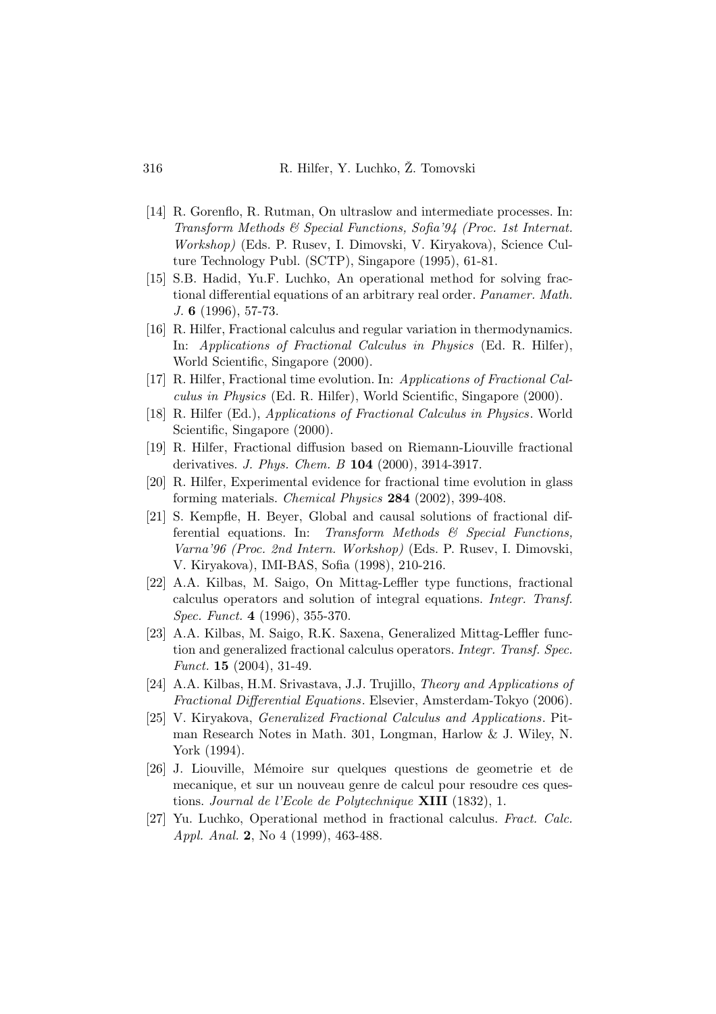- [14] R. Gorenflo, R. Rutman, On ultraslow and intermediate processes. In: Transform Methods & Special Functions, Sofia'94 (Proc. 1st Internat. Workshop) (Eds. P. Rusev, I. Dimovski, V. Kiryakova), Science Culture Technology Publ. (SCTP), Singapore (1995), 61-81.
- [15] S.B. Hadid, Yu.F. Luchko, An operational method for solving fractional differential equations of an arbitrary real order. Panamer. Math. J. 6 (1996), 57-73.
- [16] R. Hilfer, Fractional calculus and regular variation in thermodynamics. In: Applications of Fractional Calculus in Physics (Ed. R. Hilfer), World Scientific, Singapore (2000).
- [17] R. Hilfer, Fractional time evolution. In: Applications of Fractional Calculus in Physics (Ed. R. Hilfer), World Scientific, Singapore (2000).
- [18] R. Hilfer (Ed.), Applications of Fractional Calculus in Physics. World Scientific, Singapore (2000).
- [19] R. Hilfer, Fractional diffusion based on Riemann-Liouville fractional derivatives. J. Phys. Chem. B 104 (2000), 3914-3917.
- [20] R. Hilfer, Experimental evidence for fractional time evolution in glass forming materials. Chemical Physics 284 (2002), 399-408.
- [21] S. Kempfle, H. Beyer, Global and causal solutions of fractional differential equations. In: Transform Methods  $\mathcal{B}$  Special Functions, Varna'96 (Proc. 2nd Intern. Workshop) (Eds. P. Rusev, I. Dimovski, V. Kiryakova), IMI-BAS, Sofia (1998), 210-216.
- [22] A.A. Kilbas, M. Saigo, On Mittag-Leffler type functions, fractional calculus operators and solution of integral equations. Integr. Transf. Spec. Funct. 4 (1996), 355-370.
- [23] A.A. Kilbas, M. Saigo, R.K. Saxena, Generalized Mittag-Leffler function and generalized fractional calculus operators. Integr. Transf. Spec. Funct. 15 (2004), 31-49.
- [24] A.A. Kilbas, H.M. Srivastava, J.J. Trujillo, Theory and Applications of Fractional Differential Equations. Elsevier, Amsterdam-Tokyo (2006).
- [25] V. Kiryakova, Generalized Fractional Calculus and Applications. Pitman Research Notes in Math. 301, Longman, Harlow & J. Wiley, N. York (1994).
- [26] J. Liouville, M´emoire sur quelques questions de geometrie et de mecanique, et sur un nouveau genre de calcul pour resoudre ces questions. Journal de l'Ecole de Polytechnique XIII (1832), 1.
- [27] Yu. Luchko, Operational method in fractional calculus. Fract. Calc. Appl. Anal. 2, No 4 (1999), 463-488.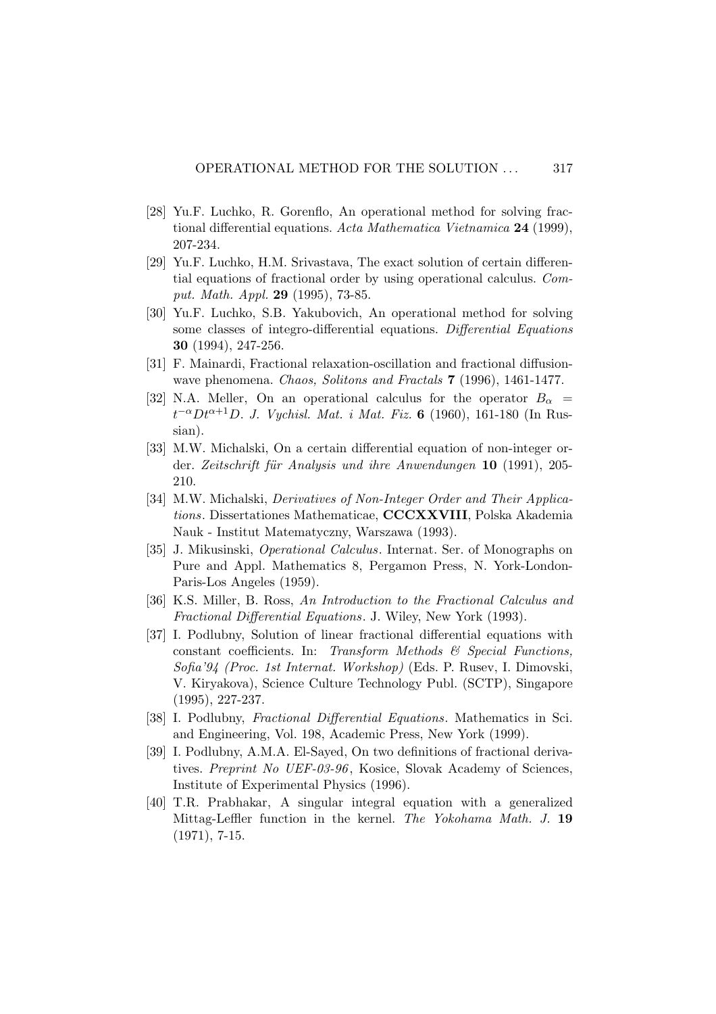- [28] Yu.F. Luchko, R. Gorenflo, An operational method for solving fractional differential equations. Acta Mathematica Vietnamica 24 (1999), 207-234.
- [29] Yu.F. Luchko, H.M. Srivastava, The exact solution of certain differential equations of fractional order by using operational calculus. Comput. Math. Appl. 29 (1995), 73-85.
- [30] Yu.F. Luchko, S.B. Yakubovich, An operational method for solving some classes of integro-differential equations. Differential Equations 30 (1994), 247-256.
- [31] F. Mainardi, Fractional relaxation-oscillation and fractional diffusionwave phenomena. Chaos, Solitons and Fractals 7 (1996), 1461-1477.
- [32] N.A. Meller, On an operational calculus for the operator  $B_{\alpha}$  =  $t^{-\alpha}Dt^{\alpha+1}D$ . J. Vychisl. Mat. i Mat. Fiz. 6 (1960), 161-180 (In Russian).
- [33] M.W. Michalski, On a certain differential equation of non-integer order. Zeitschrift für Analysis und ihre Anwendungen  $10$  (1991), 205-210.
- [34] M.W. Michalski, Derivatives of Non-Integer Order and Their Applications. Dissertationes Mathematicae, CCCXXVIII, Polska Akademia Nauk - Institut Matematyczny, Warszawa (1993).
- [35] J. Mikusinski, Operational Calculus. Internat. Ser. of Monographs on Pure and Appl. Mathematics 8, Pergamon Press, N. York-London-Paris-Los Angeles (1959).
- [36] K.S. Miller, B. Ross, An Introduction to the Fractional Calculus and Fractional Differential Equations. J. Wiley, New York (1993).
- [37] I. Podlubny, Solution of linear fractional differential equations with constant coefficients. In: Transform Methods & Special Functions, Sofia'94 (Proc. 1st Internat. Workshop) (Eds. P. Rusev, I. Dimovski, V. Kiryakova), Science Culture Technology Publ. (SCTP), Singapore (1995), 227-237.
- [38] I. Podlubny, *Fractional Differential Equations*. Mathematics in Sci. and Engineering, Vol. 198, Academic Press, New York (1999).
- [39] I. Podlubny, A.M.A. El-Sayed, On two definitions of fractional derivatives. Preprint No UEF-03-96, Kosice, Slovak Academy of Sciences, Institute of Experimental Physics (1996).
- [40] T.R. Prabhakar, A singular integral equation with a generalized Mittag-Leffler function in the kernel. The Yokohama Math. J. 19 (1971), 7-15.